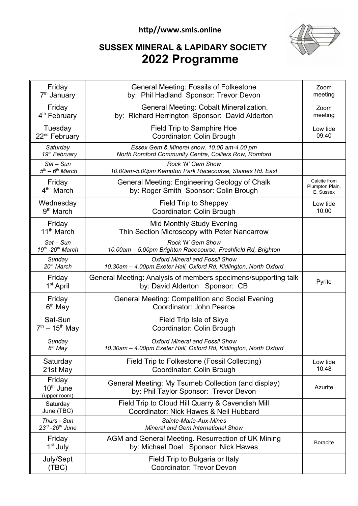## **http//www.smls.online**



## **SUSSEX MINERAL & LAPIDARY SOCIETY 2022 Programme**

| Friday<br>7 <sup>th</sup> January               | <b>General Meeting: Fossils of Folkestone</b><br>by: Phil Hadland Sponsor: Trevor Devon                    | Zoom<br>meeting                              |
|-------------------------------------------------|------------------------------------------------------------------------------------------------------------|----------------------------------------------|
| Friday<br>4 <sup>th</sup> February              | General Meeting: Cobalt Mineralization.<br>by: Richard Herrington Sponsor: David Alderton                  | Zoom<br>meeting                              |
| Tuesday<br>22 <sup>nd</sup> February            | Field Trip to Samphire Hoe<br>Coordinator: Colin Brough                                                    | Low tide<br>09:40                            |
| Saturday<br>19 <sup>th</sup> February           | Essex Gem & Mineral show. 10.00 am-4.00 pm<br>North Romford Community Centre, Colliers Row, Romford        |                                              |
| $Sat-Sun$<br>$5th - 6th March$                  | Rock 'N' Gem Show<br>10.00am-5.00pm Kempton Park Racecourse, Staines Rd. East                              |                                              |
| Friday<br>4 <sup>th</sup> March                 | General Meeting: Engineering Geology of Chalk<br>by: Roger Smith Sponsor: Colin Brough                     | Calcite from<br>Plumpton Plain,<br>E. Sussex |
| Wednesday<br>9 <sup>th</sup> March              | <b>Field Trip to Sheppey</b><br>Coordinator: Colin Brough                                                  | Low tide<br>10:00                            |
| Friday<br>11 <sup>th</sup> March                | <b>Mid Monthly Study Evening</b><br>Thin Section Microscopy with Peter Nancarrow                           |                                              |
| $Sat-Sun$<br>19th -20th March                   | <b>Rock 'N' Gem Show</b><br>10.00am - 5.00pm Brighton Racecourse, Freshfield Rd, Brighton                  |                                              |
| Sunday<br>20 <sup>th</sup> March                | <b>Oxford Mineral and Fossil Show</b><br>10.30am - 4.00pm Exeter Hall, Oxford Rd, Kidlington, North Oxford |                                              |
| Friday<br>1 <sup>st</sup> April                 | General Meeting: Analysis of members specimens/supporting talk<br>by: David Alderton Sponsor: CB           | Pyrite                                       |
| Friday<br>6 <sup>th</sup> May                   | <b>General Meeting: Competition and Social Evening</b><br>Coordinator: John Pearce                         |                                              |
| Sat-Sun<br>$7^{th} - 15^{th}$ May               | Field Trip Isle of Skye<br>Coordinator: Colin Brough                                                       |                                              |
| Sunday<br>8 <sup>th</sup> May                   | <b>Oxford Mineral and Fossil Show</b><br>10.30am - 4.00pm Exeter Hall, Oxford Rd, Kidlington, North Oxford |                                              |
| Saturday<br>21st May                            | Field Trip to Folkestone (Fossil Collecting)<br>Coordinator: Colin Brough                                  | Low tide<br>10:48                            |
| Friday<br>$10th$ June<br>(upper room)           | General Meeting: My Tsumeb Collection (and display)<br>by: Phil Taylor Sponsor: Trevor Devon               | Azurite                                      |
| Saturday<br>June (TBC)                          | Field Trip to Cloud Hill Quarry & Cavendish Mill<br>Coordinator: Nick Hawes & Neil Hubbard                 |                                              |
| Thurs - Sun<br>$23^{rd}$ -26 <sup>th</sup> June | Sainte-Marie-Aux-Mines<br>Mineral and Gem International Show                                               |                                              |
| Friday<br>1 <sup>st</sup> July                  | AGM and General Meeting. Resurrection of UK Mining<br>by: Michael Doel Sponsor: Nick Hawes                 | <b>Boracite</b>                              |
| July/Sept<br>(TEC)                              | Field Trip to Bulgaria or Italy<br><b>Coordinator: Trevor Devon</b>                                        |                                              |